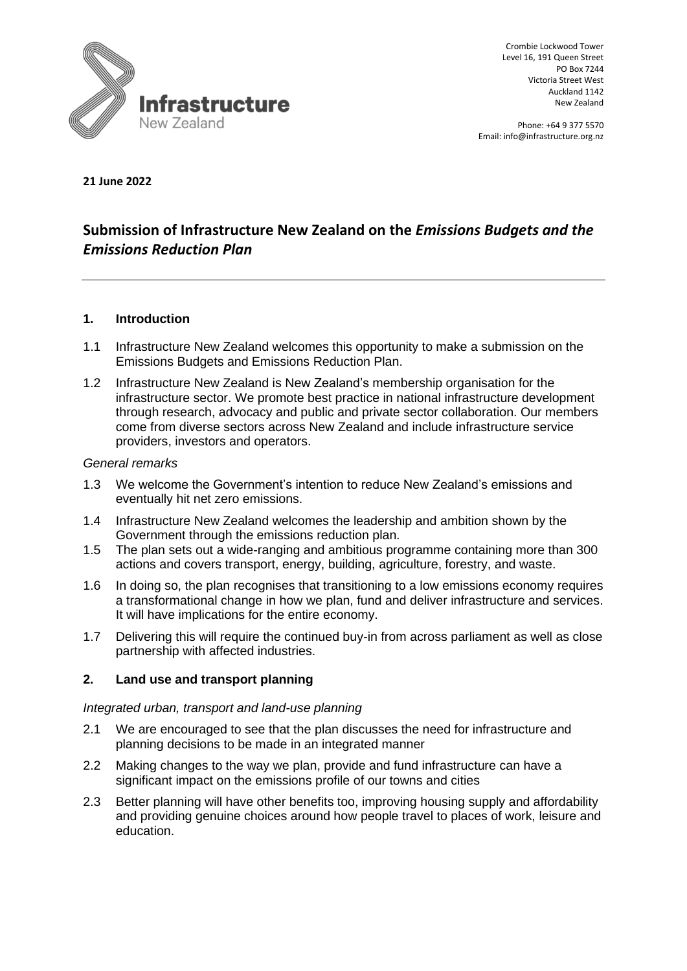

Crombie Lockwood Tower Level 16, 191 Queen Street PO Box 7244 Victoria Street West Auckland 1142 New Zealand

Phone: +64 9 377 5570 Email: info@infrastructure.org.nz

#### **21 June 2022**

# **Submission of Infrastructure New Zealand on the** *Emissions Budgets and the Emissions Reduction Plan*

#### **1. Introduction**

- 1.1 Infrastructure New Zealand welcomes this opportunity to make a submission on the Emissions Budgets and Emissions Reduction Plan.
- 1.2 Infrastructure New Zealand is New Zealand's membership organisation for the infrastructure sector. We promote best practice in national infrastructure development through research, advocacy and public and private sector collaboration. Our members come from diverse sectors across New Zealand and include infrastructure service providers, investors and operators.

#### *General remarks*

- 1.3 We welcome the Government's intention to reduce New Zealand's emissions and eventually hit net zero emissions.
- 1.4 Infrastructure New Zealand welcomes the leadership and ambition shown by the Government through the emissions reduction plan.
- 1.5 The plan sets out a wide-ranging and ambitious programme containing more than 300 actions and covers transport, energy, building, agriculture, forestry, and waste.
- 1.6 In doing so, the plan recognises that transitioning to a low emissions economy requires a transformational change in how we plan, fund and deliver infrastructure and services. It will have implications for the entire economy.
- 1.7 Delivering this will require the continued buy-in from across parliament as well as close partnership with affected industries.

## **2. Land use and transport planning**

#### *Integrated urban, transport and land-use planning*

- 2.1 We are encouraged to see that the plan discusses the need for infrastructure and planning decisions to be made in an integrated manner
- 2.2 Making changes to the way we plan, provide and fund infrastructure can have a significant impact on the emissions profile of our towns and cities
- 2.3 Better planning will have other benefits too, improving housing supply and affordability and providing genuine choices around how people travel to places of work, leisure and education.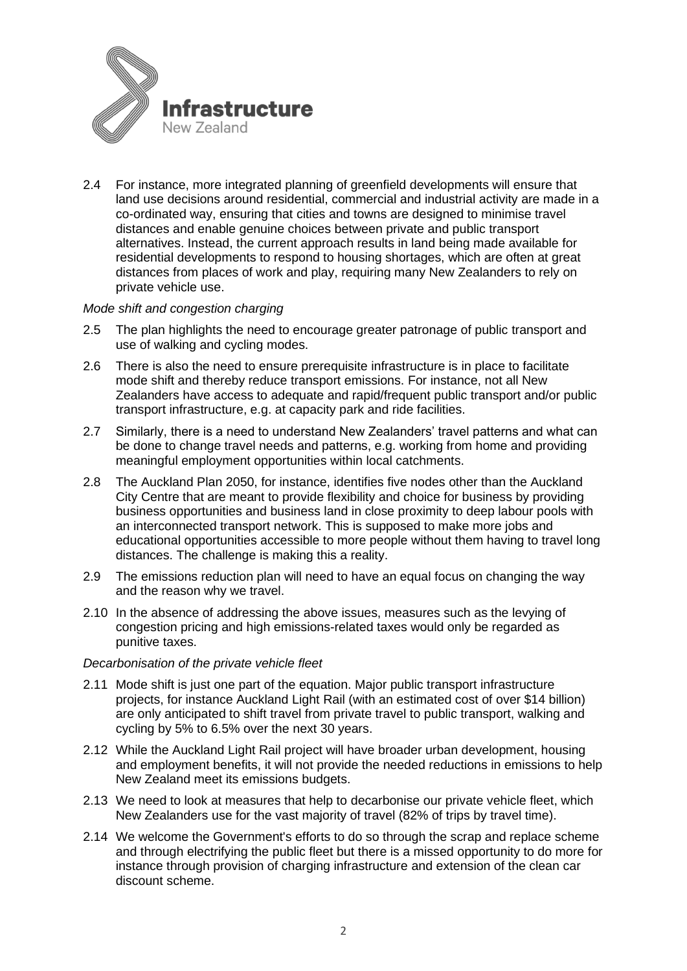

2.4 For instance, more integrated planning of greenfield developments will ensure that land use decisions around residential, commercial and industrial activity are made in a co-ordinated way, ensuring that cities and towns are designed to minimise travel distances and enable genuine choices between private and public transport alternatives. Instead, the current approach results in land being made available for residential developments to respond to housing shortages, which are often at great distances from places of work and play, requiring many New Zealanders to rely on private vehicle use.

## *Mode shift and congestion charging*

- 2.5 The plan highlights the need to encourage greater patronage of public transport and use of walking and cycling modes.
- 2.6 There is also the need to ensure prerequisite infrastructure is in place to facilitate mode shift and thereby reduce transport emissions. For instance, not all New Zealanders have access to adequate and rapid/frequent public transport and/or public transport infrastructure, e.g. at capacity park and ride facilities.
- 2.7 Similarly, there is a need to understand New Zealanders' travel patterns and what can be done to change travel needs and patterns, e.g. working from home and providing meaningful employment opportunities within local catchments.
- 2.8 The Auckland Plan 2050, for instance, identifies five nodes other than the Auckland City Centre that are meant to provide flexibility and choice for business by providing business opportunities and business land in close proximity to deep labour pools with an interconnected transport network. This is supposed to make more jobs and educational opportunities accessible to more people without them having to travel long distances. The challenge is making this a reality.
- 2.9 The emissions reduction plan will need to have an equal focus on changing the way and the reason why we travel.
- 2.10 In the absence of addressing the above issues, measures such as the levying of congestion pricing and high emissions-related taxes would only be regarded as punitive taxes.

#### *Decarbonisation of the private vehicle fleet*

- 2.11 Mode shift is just one part of the equation. Major public transport infrastructure projects, for instance Auckland Light Rail (with an estimated cost of over \$14 billion) are only anticipated to shift travel from private travel to public transport, walking and cycling by 5% to 6.5% over the next 30 years.
- 2.12 While the Auckland Light Rail project will have broader urban development, housing and employment benefits, it will not provide the needed reductions in emissions to help New Zealand meet its emissions budgets.
- 2.13 We need to look at measures that help to decarbonise our private vehicle fleet, which New Zealanders use for the vast majority of travel (82% of trips by travel time).
- 2.14 We welcome the Government's efforts to do so through the scrap and replace scheme and through electrifying the public fleet but there is a missed opportunity to do more for instance through provision of charging infrastructure and extension of the clean car discount scheme.